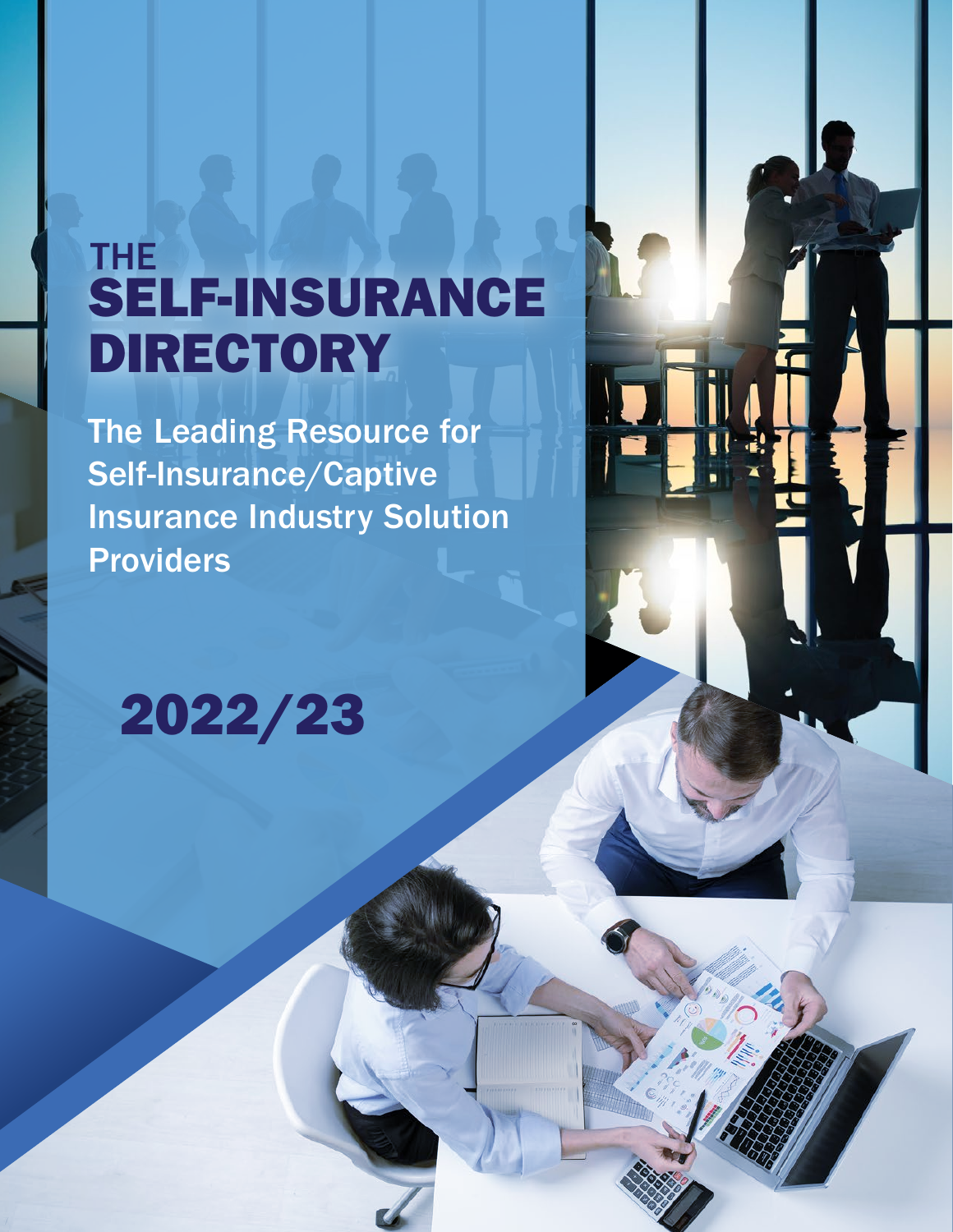## SELF-INSURANCE DIRECTORY THE

The Leading Resource for Self-Insurance/Captive Insurance Industry Solution **Providers** 

## 2022/23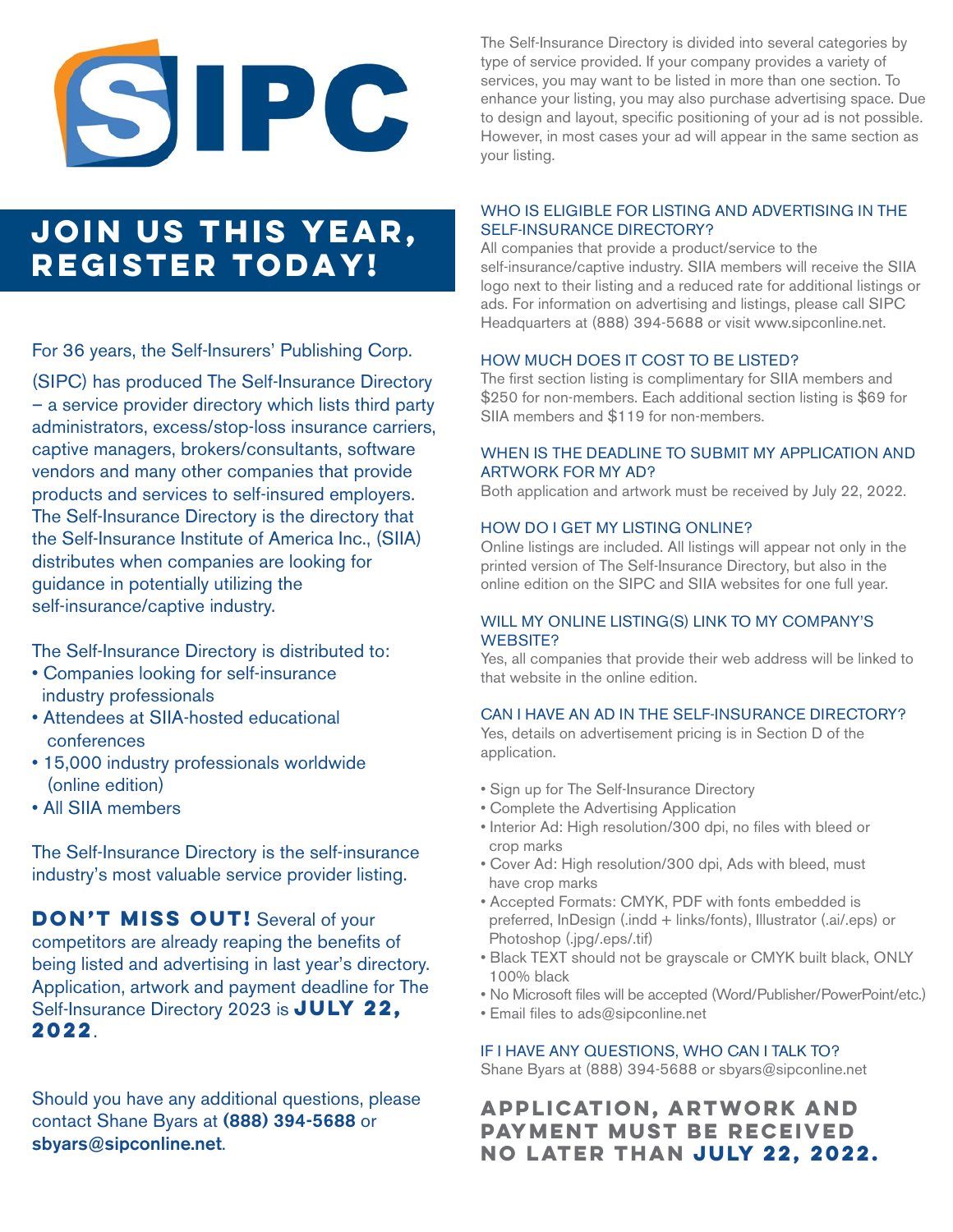# SIPC

### **JOIN US THIS YEAR, REGISTER TODAY!**

For 36 years, the Self-Insurers' Publishing Corp.

(SIPC) has produced The Self-Insurance Directory – a service provider directory which lists third party administrators, excess/stop-loss insurance carriers, captive managers, brokers/consultants, software vendors and many other companies that provide products and services to self-insured employers. The Self-Insurance Directory is the directory that the Self-Insurance Institute of America Inc., (SIIA) distributes when companies are looking for guidance in potentially utilizing the self-insurance/captive industry.

The Self-Insurance Directory is distributed to:

- Companies looking for self-insurance industry professionals
- Attendees at SIIA-hosted educational conferences
- 15,000 industry professionals worldwide (online edition)
- All SIIA members

The Self-Insurance Directory is the self-insurance industry's most valuable service provider listing.

**DON'T MISS OUT!** Several of your competitors are already reaping the benefits of being listed and advertising in last year's directory. Application, artwork and payment deadline for The Self-Insurance Directory 2023 is **JULY 22, 2022**.

Should you have any additional questions, please contact Shane Byars at (888) 394-5688 or sbyars@sipconline.net.

The Self-Insurance Directory is divided into several categories by type of service provided. If your company provides a variety of services, you may want to be listed in more than one section. To enhance your listing, you may also purchase advertising space. Due to design and layout, specific positioning of your ad is not possible. However, in most cases your ad will appear in the same section as your listing.

#### WHO IS ELIGIBLE FOR LISTING AND ADVERTISING IN THE SELF-INSURANCE DIRECTORY?

All companies that provide a product/service to the self-insurance/captive industry. SIIA members will receive the SIIA logo next to their listing and a reduced rate for additional listings or ads. For information on advertising and listings, please call SIPC Headquarters at (888) 394-5688 or visit www.sipconline.net.

#### HOW MUCH DOES IT COST TO BE LISTED?

The first section listing is complimentary for SIIA members and \$250 for non-members. Each additional section listing is \$69 for SIIA members and \$119 for non-members.

#### WHEN IS THE DEADLINE TO SUBMIT MY APPLICATION AND ARTWORK FOR MY AD?

Both application and artwork must be received by July 22, 2022.

#### HOW DO I GET MY LISTING ONLINE?

Online listings are included. All listings will appear not only in the printed version of The Self-Insurance Directory, but also in the online edition on the SIPC and SIIA websites for one full year.

#### WILL MY ONLINE LISTING(S) LINK TO MY COMPANY'S WEBSITE?

Yes, all companies that provide their web address will be linked to that website in the online edition.

#### CAN I HAVE AN AD IN THE SELF-INSURANCE DIRECTORY?

Yes, details on advertisement pricing is in Section D of the application.

- Sign up for The Self-Insurance Directory
- Complete the Advertising Application
- Interior Ad: High resolution/300 dpi, no files with bleed or crop marks
- Cover Ad: High resolution/300 dpi, Ads with bleed, must have crop marks
- Accepted Formats: CMYK, PDF with fonts embedded is preferred, InDesign (.indd + links/fonts), Illustrator (.ai/.eps) or Photoshop (.jpg/.eps/.tif)
- Black TEXT should not be grayscale or CMYK built black, ONLY 100% black
- No Microsoft files will be accepted (Word/Publisher/PowerPoint/etc.)
- Email files to ads@sipconline.net

#### IF I HAVE ANY QUESTIONS, WHO CAN I TALK TO?

Shane Byars at (888) 394-5688 or sbyars@sipconline.net

#### **APPLICATION, ARTWORK AND PAYMENT MUST BE RECEIVED NO LATER THAN July 22, 2022.**